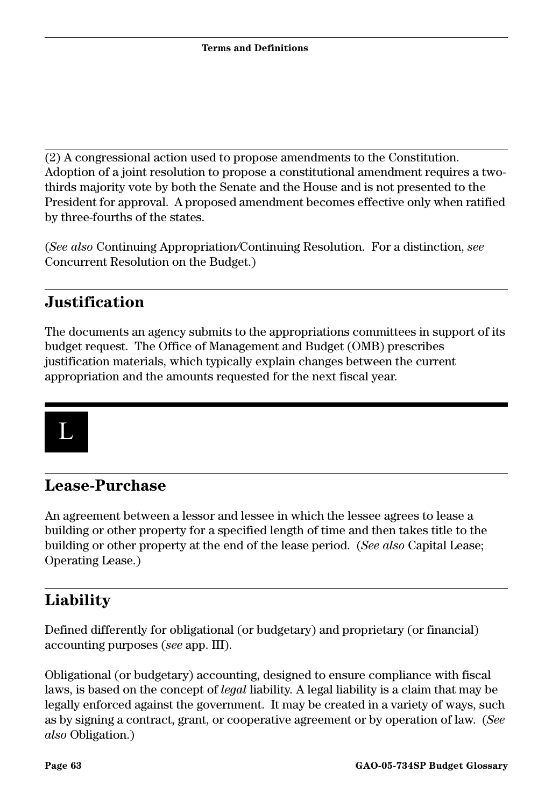(2) A congressional action used to propose amendments to the Constitution. Adoption of a joint resolution to propose a constitutional amendment requires a twothirds majority vote by both the Senate and the House and is not presented to the President for approval. A proposed amendment becomes effective only when ratified by three-fourths of the states.

(*See also* Continuing Appropriation*/*Continuing Resolution. For a distinction, *see*  Concurrent Resolution on the Budget.)

#### **Justification**

The documents an agency submits to the appropriations committees in support of its budget request. The Office of Management and Budget (OMB) prescribes justification materials, which typically explain changes between the current appropriation and the amounts requested for the next fiscal year.



### **Lease-Purchase**

An agreement between a lessor and lessee in which the lessee agrees to lease a building or other property for a specified length of time and then takes title to the building or other property at the end of the lease period. (*See also* Capital Lease; Operating Lease.)

## **Liability**

Defined differently for obligational (or budgetary) and proprietary (or financial) accounting purposes (*see* app. III).

Obligational (or budgetary) accounting, designed to ensure compliance with fiscal laws, is based on the concept of *legal* liability. A legal liability is a claim that may be legally enforced against the government. It may be created in a variety of ways, such as by signing a contract, grant, or cooperative agreement or by operation of law. (*See also* Obligation.)